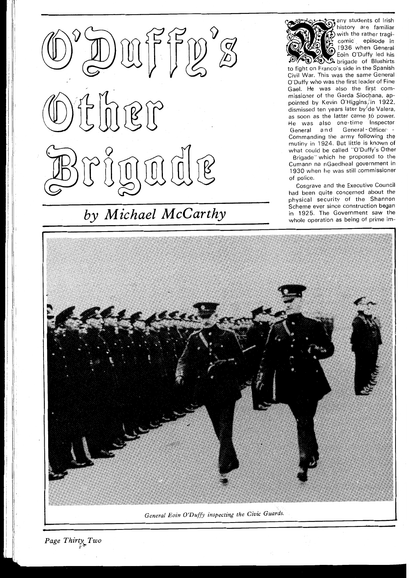

## $by \; Michael \; McCarthy \qquad \qquad \text{where ever since construction began the Government saw the whole operation as being of prime im-$



any students of Irish history are familiar with the rather tragicomic episode in 1936 when General Eoin O'Duffy led his **3.** brigade of Blushirts

to fight on Franco's side in the Spanish Civil War. This was the same General O'Duffy who was the first leader of Fine Gael. He was also the first com-<br>missioner of the Garda Siochana, appointed by Kevin O'Higgins, in 1922, dismissed ten years later by de Valera, as soon as the latter came to power. He was also one-time Inspector General and General-Officer -Commanding the army following zhe Brigade" whlch he proposed to the Cumann na nGaedheal government in 1930 when he was still commissioner of police.

Cosgrave and the Executive Council had been quite concerned about the physical security of the Shannon Scheme ever since construction began<br>in 1925. The Government saw the



**Page Thirty Two**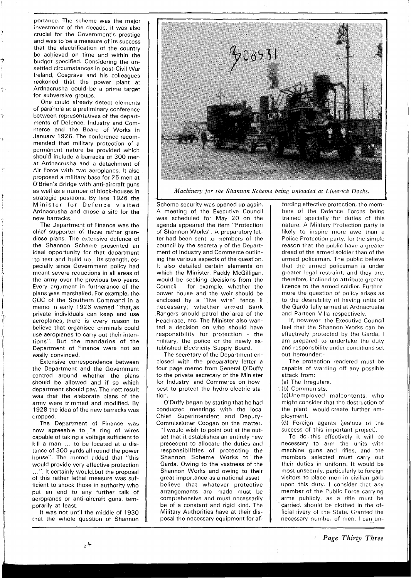portance. The scheme was the major investment of the decade, it was also crucial for the Government's prestige and was to be a measure of its success that the electrification of the country be achieved on time and within the budget specified. Considering the unsettled circumstances in post-Civil War Ireland, Cosgrave and his colleagues reckoned that the power plant at Ardnacrusha could be a prime target for subversive groups.

One could already detect elements of paranoia at a preliminary conference between representatives of the departments of Defence, lndustry and Commerce and the Board of Works in January 1926. The conference recommended that military protection of a permanent nature be provided which should include a barracks of 300 men at Ardnacrusha and a detachment of Air Force with two aeroplanes. It also proposed a military base for 25 men at O'Brien's Bridge with anti-aircraft guns as well as a number of block-houses in strategic positions. By late 1926 the Minister for Defence visited Ardnacrusha and chose a site for the new barracks.

The Department of Finance was the chief supporter of these rather grandiose plans. The extensive defence of the Shannon Scheme presented an ideal opportunity for that department to test and build up its strength, especially since Government policy had meant severe reductions in all areas of the army over the previous two years. Every argument in furtherance of the plans yvas marshalled. For example, the GOC of the Southern Command in a memo in early 1926 warned "that,as private individuals can keep and use aeroplanes, there is every reason to believe that organised criminals could use aeroplanes to carry out their intentions". But the mandarins of the Department of Finance were not so easily convinced.

Extensive correspondence between the Department and the Government centred around whether the plans should be allowed and if so which department should pay. The nett result was that the elaborate plans of the army were trimmed and modified. By 1928 the idea of the new barracks was dropped.

The Department of Finance was now agreeable to "a ring of wires capable of taking a voltage sufficient to kill a man ... to be located at a distance of 300 yards all round the power house". The memo added that "this would provide very effective protection . It certainly would, but the proposal of this rather lethal measure was sufficient to shock those in authority who put an end to any further talk of aeroplanes or anti-aircraft guns, temporarily at least.

It was not until the middle of 1930 that the whole question of Shannon



*Machinery for the Shannon Scheme being unloaded at Limerick Docks.* 

Scheme security was opened up again. A meeting of the Executive Council was scheduled for May 20 on the agenda appeared the item "Protection of Shannon Works". A preparatory letter had been sent to members of the council by the secretary of the Department of lndustry and Commerce outlining the various aspects of the question. It also detailed certain elements on which the Minister, Paddy McGilligan, would be seeking decisions from the Council - for example, whether the power house and the weir should be enclosed by a "live wire" fence if necessary; whether armed Bank Rangers should patrol the area of the Head-race, etc. The Minister also wanted a decision on who should have responsibility for protection - the military, the police or the newly established Electricity Supply Board.

The secretary of the Department enclosed with the preparatory letter a four page memo from General O'Duffy to the private secretary of the Minister for lndustry and Commerce on how best to protect the hydro-electric station.

O'Duffy began by stating that he had conducted meetings with the local Chief Superintendent and Deputy-Commissioner Coogan on the matter.

"I would wish to point out at the outset that it establishes an entirely new precedent to allocate the duties and responsibilities of protecting the Shannon Scheme Works to the Garda. Owing to the vastness of the Shannon Works and owing to their great importance as a national asset I believe that whatever protective arrangements are made must be comprehensive and must necessarily be of a constant and rigid kind. The Military Authorities have at their disposal the necessary equipment for af-

fording effective protection, the members of the Defence Forces being trained specially for duties of this nature. A Military Protection party is likely to inspire more awe than a Police Protection party, for the simple reason that the public have a greater dread of the armed soldier than of the armed policeman. The public believe that the armed policeman is under greater legal restraint, and they are, therefore, inclined to attribute greater licence to the armed soldier. Furthermore the question of policy arises as to the desirability of having units of the Garda fully armed at Ardnacrusha and Parteen Villa respectively.

If, however, the Executive Council feel that the Shannon Works can be effectively protected by the Garda, I am prepared to undertake the duty and responsbility under conditions set out hereunder:-

The protection rendered must be capable of warding off any possible attack from:

(a) The Irregulars.

(b) Communists.

(c)Unemployed malcontents, who might consider that the destruction of the plant would create further employment.

(d) Foreign agents (jealous of the success of this important project).

To do this effectively it will be necessary to arm the units with machine guns and rifles, and the members selected must carry out their duties in uniform. It would be most unseemly, particularly to foreign visitors to place men in civilian garb upon this duty. I consider that any member of the Public Force carrying arms publicly, as a rifle must be carried, should be clothed in the official livery of the State. Granted the necessary number of men, I can un-